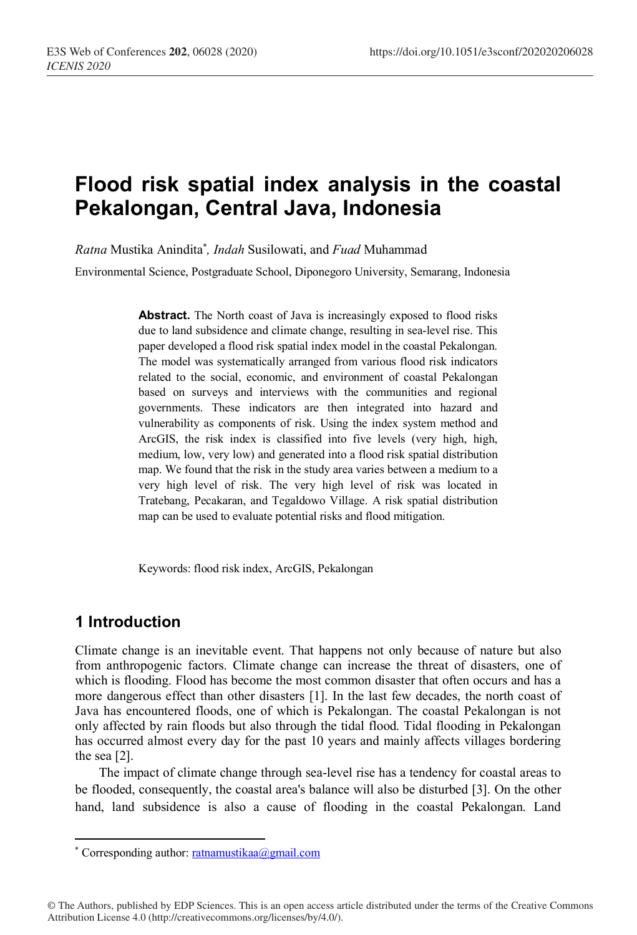# **Flood risk spatial index analysis in the coastal Pekalongan, Central Java, Indonesia**

*Ratna* Mustika Anindita\* *, Indah* Susilowati, and *Fuad* Muhammad

Environmental Science, Postgraduate School, Diponegoro University, Semarang, Indonesia

Abstract. The North coast of Java is increasingly exposed to flood risks due to land subsidence and climate change, resulting in sea-level rise. This paper developed a flood risk spatial index model in the coastal Pekalongan. The model was systematically arranged from various flood risk indicators related to the social, economic, and environment of coastal Pekalongan based on surveys and interviews with the communities and regional governments. These indicators are then integrated into hazard and vulnerability as components of risk. Using the index system method and ArcGIS, the risk index is classified into five levels (very high, high, medium, low, very low) and generated into a flood risk spatial distribution map. We found that the risk in the study area varies between a medium to a very high level of risk. The very high level of risk was located in Tratebang, Pecakaran, and Tegaldowo Village. A risk spatial distribution map can be used to evaluate potential risks and flood mitigation.

Keywords: flood risk index, ArcGIS, Pekalongan

## **1 Introduction**

 $\overline{a}$ 

Climate change is an inevitable event. That happens not only because of nature but also from anthropogenic factors. Climate change can increase the threat of disasters, one of which is flooding. Flood has become the most common disaster that often occurs and has a more dangerous effect than other disasters [1]. In the last few decades, the north coast of Java has encountered floods, one of which is Pekalongan. The coastal Pekalongan is not only affected by rain floods but also through the tidal flood. Tidal flooding in Pekalongan has occurred almost every day for the past 10 years and mainly affects villages bordering the sea [2].

The impact of climate change through sea-level rise has a tendency for coastal areas to be flooded, consequently, the coastal area's balance will also be disturbed [3]. On the other hand, land subsidence is also a cause of flooding in the coastal Pekalongan. Land

© The Authors, published by EDP Sciences. This is an open access article distributed under the terms of the Creative Commons Attribution License 4.0 (http://creativecommons.org/licenses/by/4.0/).

<sup>\*</sup> Corresponding author: ratnamustikaa@gmail.com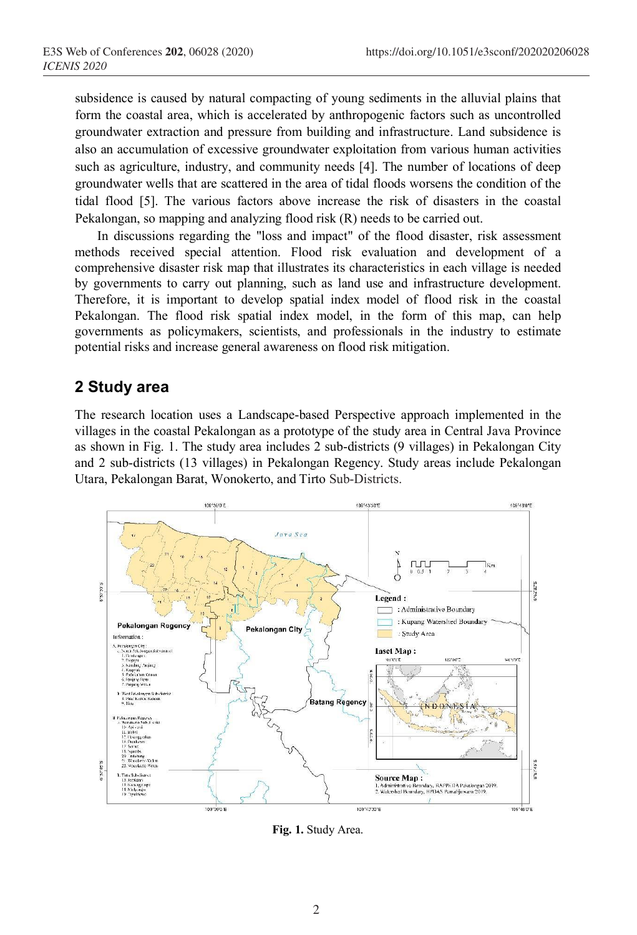subsidence is caused by natural compacting of young sediments in the alluvial plains that form the coastal area, which is accelerated by anthropogenic factors such as uncontrolled groundwater extraction and pressure from building and infrastructure. Land subsidence is also an accumulation of excessive groundwater exploitation from various human activities such as agriculture, industry, and community needs [4]. The number of locations of deep groundwater wells that are scattered in the area of tidal floods worsens the condition of the tidal flood [5]. The various factors above increase the risk of disasters in the coastal Pekalongan, so mapping and analyzing flood risk (R) needs to be carried out.

In discussions regarding the "loss and impact" of the flood disaster, risk assessment methods received special attention. Flood risk evaluation and development of a comprehensive disaster risk map that illustrates its characteristics in each village is needed by governments to carry out planning, such as land use and infrastructure development. Therefore, it is important to develop spatial index model of flood risk in the coastal Pekalongan. The flood risk spatial index model, in the form of this map, can help governments as policymakers, scientists, and professionals in the industry to estimate potential risks and increase general awareness on flood risk mitigation.

## **2 Study area**

The research location uses a Landscape-based Perspective approach implemented in the villages in the coastal Pekalongan as a prototype of the study area in Central Java Province as shown in Fig. 1. The study area includes 2 sub-districts (9 villages) in Pekalongan City and 2 sub-districts (13 villages) in Pekalongan Regency. Study areas include Pekalongan Utara, Pekalongan Barat, Wonokerto, and Tirto Sub-Districts.



**Fig. 1.** Study Area.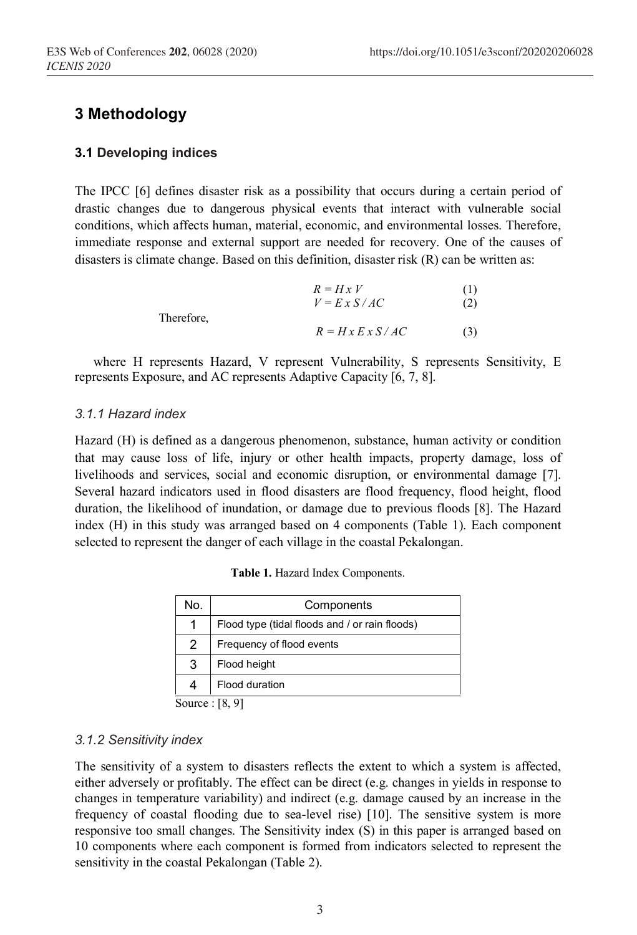## **3 Methodology**

#### **3.1 Developing indices**

The IPCC [6] defines disaster risk as a possibility that occurs during a certain period of drastic changes due to dangerous physical events that interact with vulnerable social conditions, which affects human, material, economic, and environmental losses. Therefore, immediate response and external support are needed for recovery. One of the causes of disasters is climate change. Based on this definition, disaster risk (R) can be written as:

|            | $R = Hx V$         | (1) |
|------------|--------------------|-----|
|            | $V = E X S / AC$   | (2) |
| Therefore. |                    |     |
|            | $R = Hx E x S/A C$ | (3) |

where H represents Hazard, V represent Vulnerability, S represents Sensitivity, E represents Exposure, and AC represents Adaptive Capacity [6, 7, 8].

#### *3.1.1 Hazard index*

Hazard (H) is defined as a dangerous phenomenon, substance, human activity or condition that may cause loss of life, injury or other health impacts, property damage, loss of livelihoods and services, social and economic disruption, or environmental damage [7]. Several hazard indicators used in flood disasters are flood frequency, flood height, flood duration, the likelihood of inundation, or damage due to previous floods [8]. The Hazard index (H) in this study was arranged based on 4 components (Table 1). Each component selected to represent the danger of each village in the coastal Pekalongan.

| No.           | Components                                     |
|---------------|------------------------------------------------|
|               | Flood type (tidal floods and / or rain floods) |
| $\mathcal{P}$ | Frequency of flood events                      |
| 3             | Flood height                                   |
|               | Flood duration                                 |
|               | <b>FA AT</b>                                   |

**Table 1.** Hazard Index Components.

Source : [8, 9]

#### *3.1.2 Sensitivity index*

The sensitivity of a system to disasters reflects the extent to which a system is affected, either adversely or profitably. The effect can be direct (e.g. changes in yields in response to changes in temperature variability) and indirect (e.g. damage caused by an increase in the frequency of coastal flooding due to sea-level rise) [10]. The sensitive system is more responsive too small changes. The Sensitivity index (S) in this paper is arranged based on 10 components where each component is formed from indicators selected to represent the sensitivity in the coastal Pekalongan (Table 2).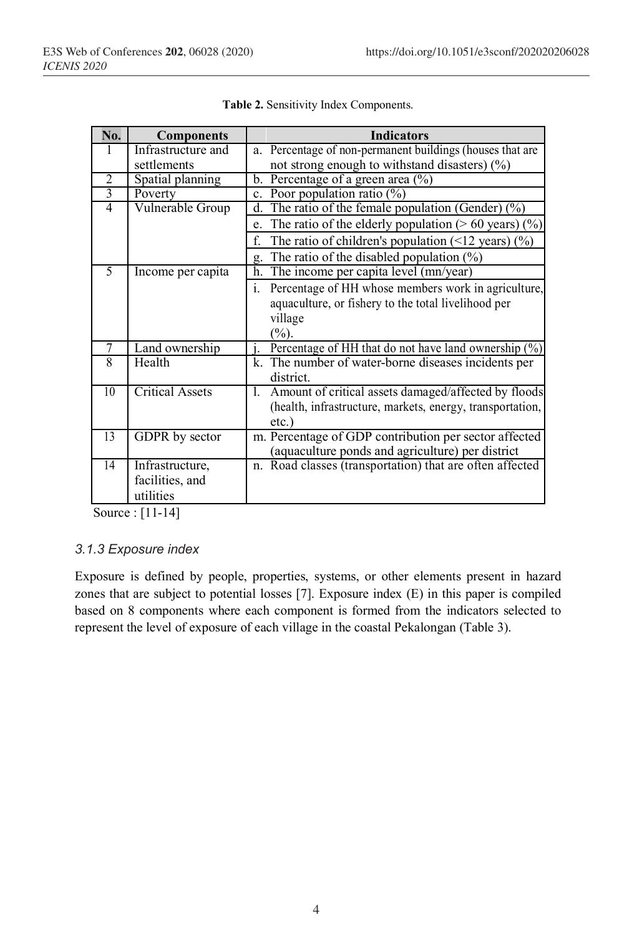| No.            | <b>Components</b>      |    | <b>Indicators</b>                                         |
|----------------|------------------------|----|-----------------------------------------------------------|
|                | Infrastructure and     |    | a. Percentage of non-permanent buildings (houses that are |
|                | settlements            |    | not strong enough to withstand disasters) $(\% )$         |
| $\overline{2}$ | Spatial planning       |    | b. Percentage of a green area $(\%$ )                     |
| $\overline{3}$ | Poverty                |    | c. Poor population ratio $(\%)$                           |
| $\overline{4}$ | Vulnerable Group       |    | d. The ratio of the female population (Gender) $(\%)$     |
|                |                        | e. | The ratio of the elderly population ( $> 60$ years) (%)   |
|                |                        | f  | The ratio of children's population (<12 years) $(\%)$     |
|                |                        | g. | The ratio of the disabled population $(\%)$               |
| 5              | Income per capita      |    | h. The income per capita level (mn/year)                  |
|                |                        | i. | Percentage of HH whose members work in agriculture,       |
|                |                        |    | aquaculture, or fishery to the total livelihood per       |
|                |                        |    | village                                                   |
|                |                        |    | $(\frac{9}{6})$ .                                         |
| 7              | Land ownership         |    | Percentage of HH that do not have land ownership $(\%)$   |
| 8              | Health                 |    | k. The number of water-borne diseases incidents per       |
|                |                        |    | district.                                                 |
| 10             | <b>Critical Assets</b> | I. | Amount of critical assets damaged/affected by floods      |
|                |                        |    | (health, infrastructure, markets, energy, transportation, |
|                |                        |    | $etc.$ )                                                  |
| 13             | GDPR by sector         |    | m. Percentage of GDP contribution per sector affected     |
|                |                        |    | (aquaculture ponds and agriculture) per district          |
| 14             | Infrastructure,        |    | n. Road classes (transportation) that are often affected  |
|                | facilities, and        |    |                                                           |
|                | utilities              |    |                                                           |

|  |  |  | Table 2. Sensitivity Index Components. |
|--|--|--|----------------------------------------|
|--|--|--|----------------------------------------|

Source : [11-14]

#### *3.1.3 Exposure index*

Exposure is defined by people, properties, systems, or other elements present in hazard zones that are subject to potential losses [7]. Exposure index (E) in this paper is compiled based on 8 components where each component is formed from the indicators selected to represent the level of exposure of each village in the coastal Pekalongan (Table 3).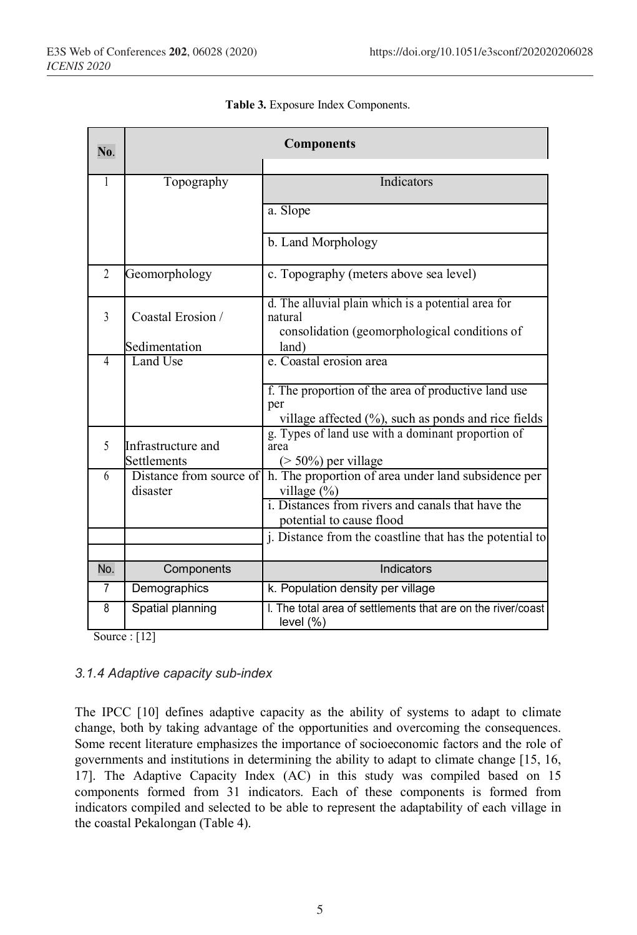| No.            | <b>Components</b>                   |                                                                                                                        |  |  |
|----------------|-------------------------------------|------------------------------------------------------------------------------------------------------------------------|--|--|
|                |                                     |                                                                                                                        |  |  |
| 1              | Topography                          | <b>Indicators</b>                                                                                                      |  |  |
|                |                                     | a. Slope                                                                                                               |  |  |
|                |                                     | b. Land Morphology                                                                                                     |  |  |
| $\overline{2}$ | Geomorphology                       | c. Topography (meters above sea level)                                                                                 |  |  |
| $\mathcal{E}$  | Coastal Erosion /                   | d. The alluvial plain which is a potential area for<br>natural                                                         |  |  |
|                | Sedimentation                       | consolidation (geomorphological conditions of<br>land)                                                                 |  |  |
| 4              | Land Use                            | e. Coastal erosion area                                                                                                |  |  |
|                |                                     | f. The proportion of the area of productive land use<br>per<br>village affected $(\%)$ , such as ponds and rice fields |  |  |
| 5              | Infrastructure and<br>Settlements   | g. Types of land use with a dominant proportion of<br>area<br>$($ > 50%) per village                                   |  |  |
| 6              | Distance from source of<br>disaster | h. The proportion of area under land subsidence per<br>village (%)                                                     |  |  |
|                |                                     | i. Distances from rivers and canals that have the<br>potential to cause flood                                          |  |  |
|                |                                     | j. Distance from the coastline that has the potential to                                                               |  |  |
| No.            | Components                          | Indicators                                                                                                             |  |  |
| $\overline{7}$ | Demographics                        | k. Population density per village                                                                                      |  |  |
| 8<br>$\sim$    | Spatial planning<br>F121            | I. The total area of settlements that are on the river/coast<br>level (%)                                              |  |  |

| Table 3. Exposure Index Components. |  |  |
|-------------------------------------|--|--|
|-------------------------------------|--|--|

Source : [12]

#### *3.1.4 Adaptive capacity sub-index*

The IPCC [10] defines adaptive capacity as the ability of systems to adapt to climate change, both by taking advantage of the opportunities and overcoming the consequences. Some recent literature emphasizes the importance of socioeconomic factors and the role of governments and institutions in determining the ability to adapt to climate change [15, 16, 17]. The Adaptive Capacity Index (AC) in this study was compiled based on 15 components formed from 31 indicators. Each of these components is formed from indicators compiled and selected to be able to represent the adaptability of each village in the coastal Pekalongan (Table 4).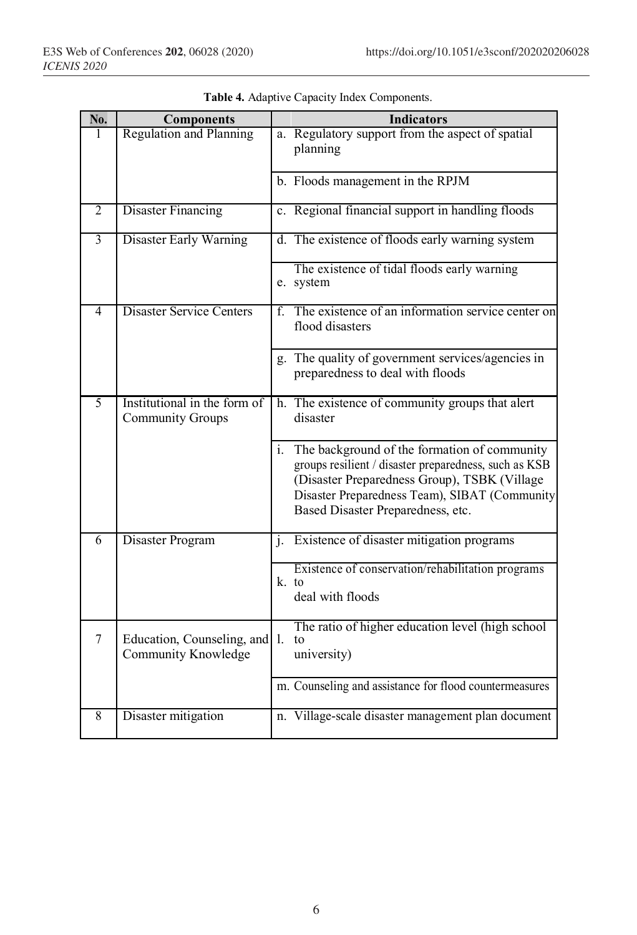| No.            | <b>Components</b>                                       | <b>Indicators</b>                                                                                                                                                                                                                              |
|----------------|---------------------------------------------------------|------------------------------------------------------------------------------------------------------------------------------------------------------------------------------------------------------------------------------------------------|
| 1              | <b>Regulation and Planning</b>                          | a. Regulatory support from the aspect of spatial<br>planning                                                                                                                                                                                   |
|                |                                                         | b. Floods management in the RPJM                                                                                                                                                                                                               |
| 2              | <b>Disaster Financing</b>                               | c. Regional financial support in handling floods                                                                                                                                                                                               |
| $\overline{3}$ | Disaster Early Warning                                  | d. The existence of floods early warning system                                                                                                                                                                                                |
|                |                                                         | The existence of tidal floods early warning<br>e. system                                                                                                                                                                                       |
| 4              | <b>Disaster Service Centers</b>                         | The existence of an information service center on<br>f.<br>flood disasters                                                                                                                                                                     |
|                |                                                         | g. The quality of government services/agencies in<br>preparedness to deal with floods                                                                                                                                                          |
| 5              | Institutional in the form of<br><b>Community Groups</b> | h. The existence of community groups that alert<br>disaster                                                                                                                                                                                    |
|                |                                                         | i. The background of the formation of community<br>groups resilient / disaster preparedness, such as KSB<br>(Disaster Preparedness Group), TSBK (Village<br>Disaster Preparedness Team), SIBAT (Community<br>Based Disaster Preparedness, etc. |
| 6              | Disaster Program                                        | j. Existence of disaster mitigation programs                                                                                                                                                                                                   |
|                |                                                         | Existence of conservation/rehabilitation programs<br>k. to<br>deal with floods                                                                                                                                                                 |
| $\overline{7}$ | Education, Counseling, and 1.<br>Community Knowledge    | The ratio of higher education level (high school<br>to<br>university)                                                                                                                                                                          |
|                |                                                         | m. Counseling and assistance for flood countermeasures                                                                                                                                                                                         |
| 8              | Disaster mitigation                                     | n. Village-scale disaster management plan document                                                                                                                                                                                             |

|  |  |  |  | Table 4. Adaptive Capacity Index Components. |
|--|--|--|--|----------------------------------------------|
|--|--|--|--|----------------------------------------------|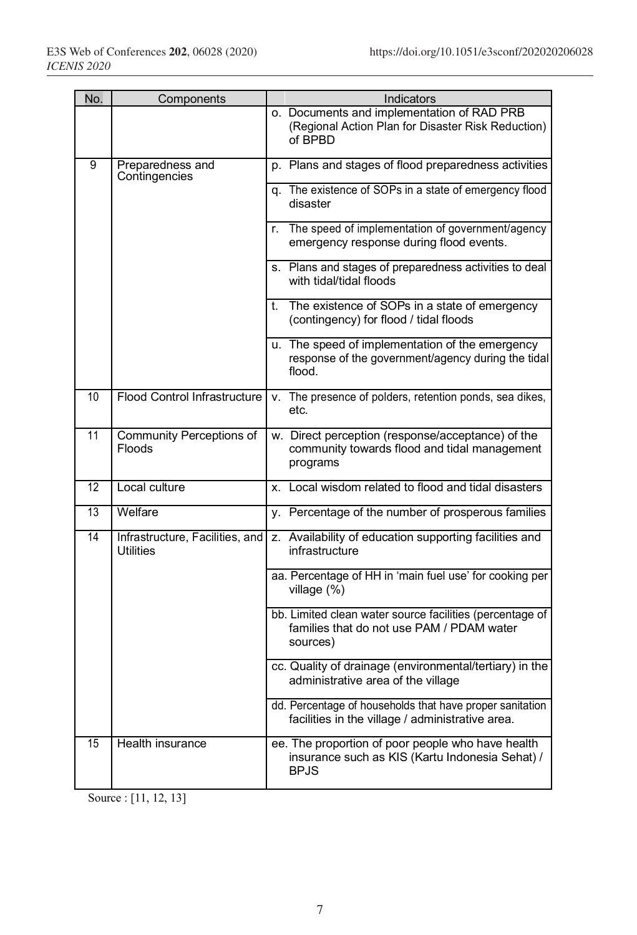| No. | Components                                          | Indicators                                                                                                          |
|-----|-----------------------------------------------------|---------------------------------------------------------------------------------------------------------------------|
|     |                                                     | o. Documents and implementation of RAD PRB<br>(Regional Action Plan for Disaster Risk Reduction)<br>of BPBD         |
| 9   | Preparedness and<br>Contingencies                   | p. Plans and stages of flood preparedness activities                                                                |
|     |                                                     | q. The existence of SOPs in a state of emergency flood<br>disaster                                                  |
|     |                                                     | r. The speed of implementation of government/agency<br>emergency response during flood events.                      |
|     |                                                     | s. Plans and stages of preparedness activities to deal<br>with tidal/tidal floods                                   |
|     |                                                     | t. The existence of SOPs in a state of emergency<br>(contingency) for flood / tidal floods                          |
|     |                                                     | u. The speed of implementation of the emergency<br>response of the government/agency during the tidal<br>flood.     |
| 10  | Flood Control Infrastructure                        | v. The presence of polders, retention ponds, sea dikes,<br>etc.                                                     |
| 11  | <b>Community Perceptions of</b><br>Floods           | w. Direct perception (response/acceptance) of the<br>community towards flood and tidal management<br>programs       |
| 12  | Local culture                                       | x. Local wisdom related to flood and tidal disasters                                                                |
| 13  | Welfare                                             | y. Percentage of the number of prosperous families                                                                  |
| 14  | Infrastructure, Facilities, and<br><b>Utilities</b> | z. Availability of education supporting facilities and<br>infrastructure                                            |
|     |                                                     | aa. Percentage of HH in 'main fuel use' for cooking per<br>village $(\%)$                                           |
|     |                                                     | bb. Limited clean water source facilities (percentage of<br>families that do not use PAM / PDAM water<br>sources)   |
|     |                                                     | cc. Quality of drainage (environmental/tertiary) in the<br>administrative area of the village                       |
|     |                                                     | dd. Percentage of households that have proper sanitation<br>facilities in the village / administrative area.        |
| 15  | Health insurance                                    | ee. The proportion of poor people who have health<br>insurance such as KIS (Kartu Indonesia Sehat) /<br><b>BPJS</b> |

Source : [11, 12, 13]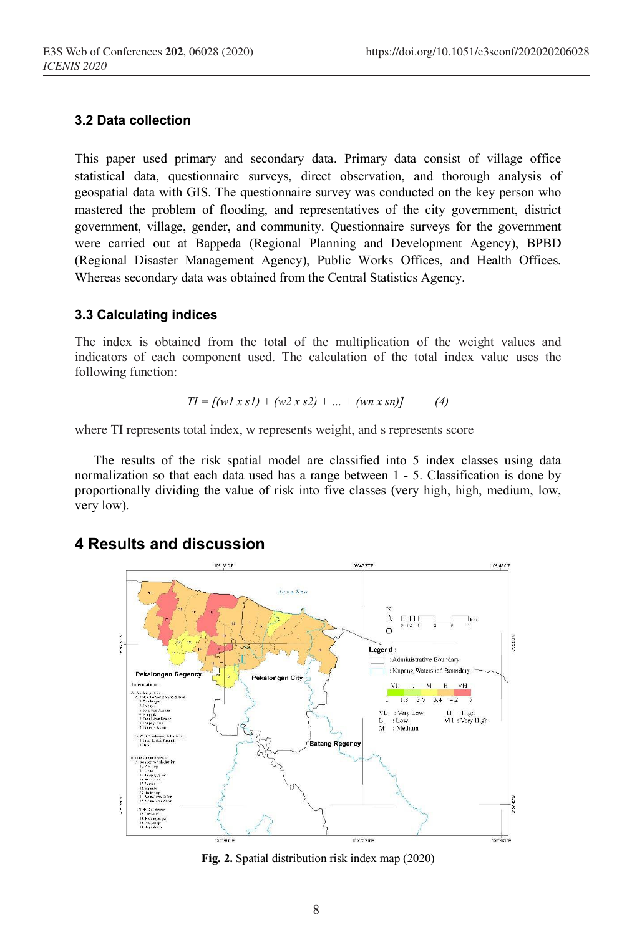#### **3.2 Data collection**

This paper used primary and secondary data. Primary data consist of village office statistical data, questionnaire surveys, direct observation, and thorough analysis of geospatial data with GIS. The questionnaire survey was conducted on the key person who mastered the problem of flooding, and representatives of the city government, district government, village, gender, and community. Questionnaire surveys for the government were carried out at Bappeda (Regional Planning and Development Agency), BPBD (Regional Disaster Management Agency), Public Works Offices, and Health Offices. Whereas secondary data was obtained from the Central Statistics Agency.

#### **3.3 Calculating indices**

The index is obtained from the total of the multiplication of the weight values and indicators of each component used. The calculation of the total index value uses the following function:

$$
TI = [(wl \times sl) + (w2 \times s2) + ... + (wn \times sn)] \tag{4}
$$

where TI represents total index, w represents weight, and s represents score

The results of the risk spatial model are classified into 5 index classes using data normalization so that each data used has a range between 1 - 5. Classification is done by proportionally dividing the value of risk into five classes (very high, high, medium, low, very low).

## **4 Results and discussion**



**Fig. 2.** Spatial distribution risk index map (2020)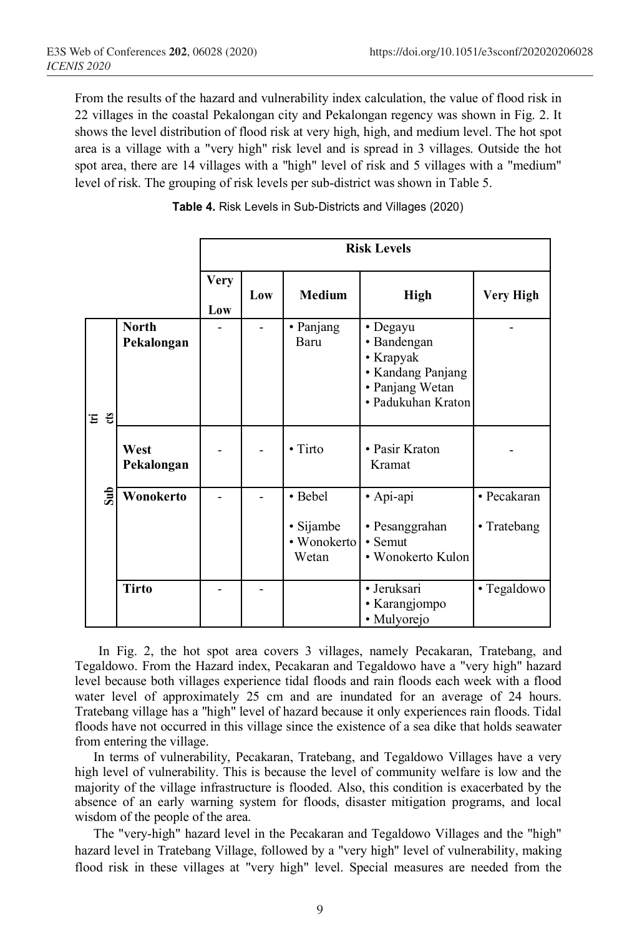From the results of the hazard and vulnerability index calculation, the value of flood risk in 22 villages in the coastal Pekalongan city and Pekalongan regency was shown in Fig. 2. It shows the level distribution of flood risk at very high, high, and medium level. The hot spot area is a village with a "very high" risk level and is spread in 3 villages. Outside the hot spot area, there are 14 villages with a "high" level of risk and 5 villages with a "medium" level of risk. The grouping of risk levels per sub-district was shown in Table 5.

|     |                            | <b>Risk Levels</b> |     |                                              |                                                                                                    |                            |
|-----|----------------------------|--------------------|-----|----------------------------------------------|----------------------------------------------------------------------------------------------------|----------------------------|
|     |                            | <b>Very</b><br>Low | Low | <b>Medium</b>                                | <b>High</b>                                                                                        | Very High                  |
| Ξů  | <b>North</b><br>Pekalongan |                    |     | • Panjang<br>Baru                            | • Degayu<br>• Bandengan<br>• Krapyak<br>• Kandang Panjang<br>• Panjang Wetan<br>· Padukuhan Kraton |                            |
|     | West<br>Pekalongan         |                    |     | $\cdot$ Tirto                                | • Pasir Kraton<br>Kramat                                                                           |                            |
| Sub | Wonokerto                  |                    |     | • Bebel<br>• Sijambe<br>• Wonokerto<br>Wetan | · Api-api<br>• Pesanggrahan<br>• Semut<br>• Wonokerto Kulon                                        | · Pecakaran<br>• Tratebang |
|     | <b>Tirto</b>               |                    |     |                                              | • Jeruksari<br>• Karangjompo<br>· Mulyorejo                                                        | • Tegaldowo                |

**Table 4.** Risk Levels in Sub-Districts and Villages (2020)

In Fig. 2, the hot spot area covers 3 villages, namely Pecakaran, Tratebang, and Tegaldowo. From the Hazard index, Pecakaran and Tegaldowo have a "very high" hazard level because both villages experience tidal floods and rain floods each week with a flood water level of approximately 25 cm and are inundated for an average of 24 hours. Tratebang village has a "high" level of hazard because it only experiences rain floods. Tidal floods have not occurred in this village since the existence of a sea dike that holds seawater from entering the village.

In terms of vulnerability, Pecakaran, Tratebang, and Tegaldowo Villages have a very high level of vulnerability. This is because the level of community welfare is low and the majority of the village infrastructure is flooded. Also, this condition is exacerbated by the absence of an early warning system for floods, disaster mitigation programs, and local wisdom of the people of the area.

The "very-high" hazard level in the Pecakaran and Tegaldowo Villages and the "high" hazard level in Tratebang Village, followed by a "very high" level of vulnerability, making flood risk in these villages at "very high" level. Special measures are needed from the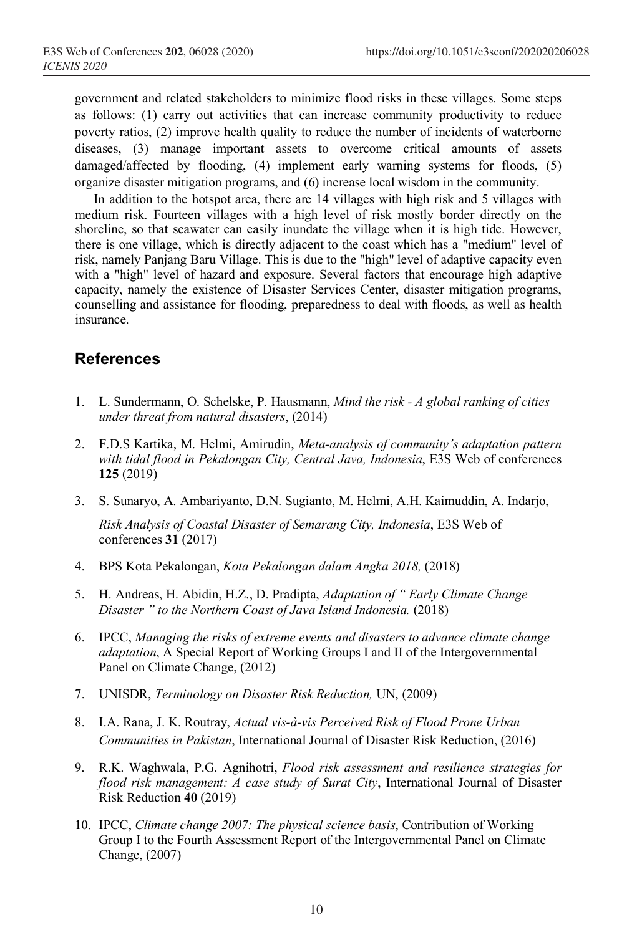government and related stakeholders to minimize flood risks in these villages. Some steps as follows: (1) carry out activities that can increase community productivity to reduce poverty ratios, (2) improve health quality to reduce the number of incidents of waterborne diseases, (3) manage important assets to overcome critical amounts of assets damaged/affected by flooding, (4) implement early warning systems for floods, (5) organize disaster mitigation programs, and (6) increase local wisdom in the community.

In addition to the hotspot area, there are 14 villages with high risk and 5 villages with medium risk. Fourteen villages with a high level of risk mostly border directly on the shoreline, so that seawater can easily inundate the village when it is high tide. However, there is one village, which is directly adjacent to the coast which has a "medium" level of risk, namely Panjang Baru Village. This is due to the "high" level of adaptive capacity even with a "high" level of hazard and exposure. Several factors that encourage high adaptive capacity, namely the existence of Disaster Services Center, disaster mitigation programs, counselling and assistance for flooding, preparedness to deal with floods, as well as health insurance.

## **References**

- 1. L. Sundermann, O. Schelske, P. Hausmann, *Mind the risk - A global ranking of cities under threat from natural disasters*, (2014)
- 2. F.D.S Kartika, M. Helmi, Amirudin, *Meta-analysis of community's adaptation pattern with tidal flood in Pekalongan City, Central Java, Indonesia*, E3S Web of conferences **125** (2019)
- 3. S. Sunaryo, A. Ambariyanto, D.N. Sugianto, M. Helmi, A.H. Kaimuddin, A. Indarjo, *Risk Analysis of Coastal Disaster of Semarang City, Indonesia*, E3S Web of conferences **31** (2017)
- 4. BPS Kota Pekalongan, *Kota Pekalongan dalam Angka 2018,* (2018)
- 5. H. Andreas, H. Abidin, H.Z., D. Pradipta, *Adaptation of " Early Climate Change Disaster " to the Northern Coast of Java Island Indonesia.* (2018)
- 6. IPCC, *Managing the risks of extreme events and disasters to advance climate change adaptation*, A Special Report of Working Groups I and II of the Intergovernmental Panel on Climate Change, (2012)
- 7. UNISDR, *Terminology on Disaster Risk Reduction,* UN, (2009)
- 8. I.A. Rana, J. K. Routray, *Actual vis-à-vis Perceived Risk of Flood Prone Urban Communities in Pakistan*, International Journal of Disaster Risk Reduction, (2016)
- 9. R.K. Waghwala, P.G. Agnihotri, *Flood risk assessment and resilience strategies for flood risk management: A case study of Surat City*, International Journal of Disaster Risk Reduction **40** (2019)
- 10. IPCC, *Climate change 2007: The physical science basis*, Contribution of Working Group I to the Fourth Assessment Report of the Intergovernmental Panel on Climate Change, (2007)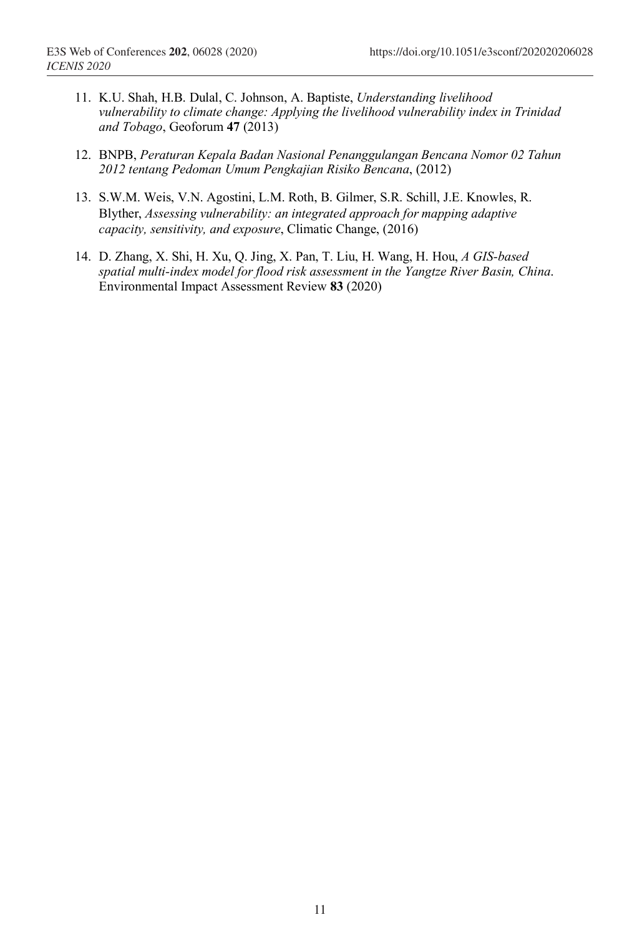- 11. K.U. Shah, H.B. Dulal, C. Johnson, A. Baptiste, *Understanding livelihood vulnerability to climate change: Applying the livelihood vulnerability index in Trinidad and Tobago*, Geoforum **47** (2013)
- 12. BNPB, *Peraturan Kepala Badan Nasional Penanggulangan Bencana Nomor 02 Tahun 2012 tentang Pedoman Umum Pengkajian Risiko Bencana*, (2012)
- 13. S.W.M. Weis, V.N. Agostini, L.M. Roth, B. Gilmer, S.R. Schill, J.E. Knowles, R. Blyther, *Assessing vulnerability: an integrated approach for mapping adaptive capacity, sensitivity, and exposure*, Climatic Change, (2016)
- 14. D. Zhang, X. Shi, H. Xu, Q. Jing, X. Pan, T. Liu, H. Wang, H. Hou, *A GIS-based spatial multi-index model for flood risk assessment in the Yangtze River Basin, China*. Environmental Impact Assessment Review **83** (2020)